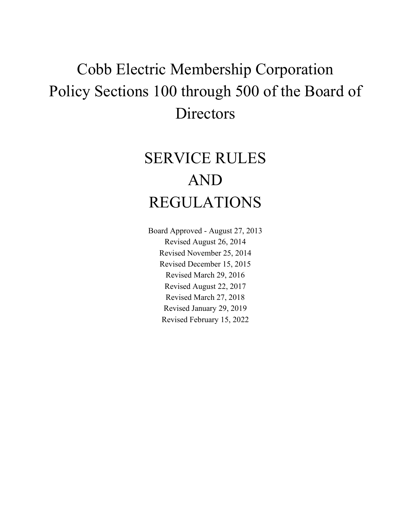# Cobb Electric Membership Corporation Policy Sections 100 through 500 of the Board of **Directors**

# SERVICE RULES AND REGULATIONS

Board Approved - August 27, 2013 Revised August 26, 2014 Revised November 25, 2014 Revised December 15, 2015 Revised March 29, 2016 Revised August 22, 2017 Revised March 27, 2018 Revised January 29, 2019 Revised February 15, 2022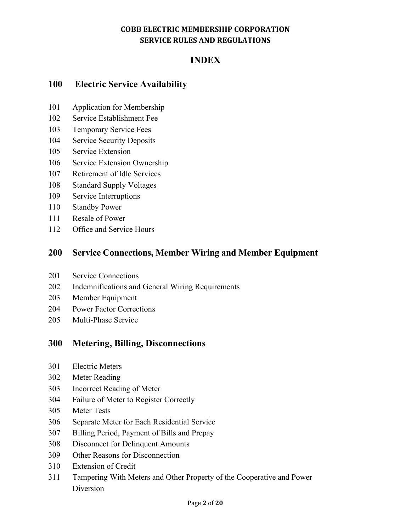# **INDEX**

# **100 Electric Service Availability**

- 101 Application for Membership
- 102 Service Establishment Fee
- 103 Temporary Service Fees
- 104 Service Security Deposits
- 105 Service Extension
- 106 Service Extension Ownership
- 107 Retirement of Idle Services
- 108 Standard Supply Voltages
- 109 Service Interruptions
- 110 Standby Power
- 111 Resale of Power
- 112 Office and Service Hours

# **200 Service Connections, Member Wiring and Member Equipment**

- 201 Service Connections
- 202 Indemnifications and General Wiring Requirements
- 203 Member Equipment
- 204 Power Factor Corrections
- 205 Multi-Phase Service

# **300 Metering, Billing, Disconnections**

- 301 Electric Meters
- 302 Meter Reading
- 303 Incorrect Reading of Meter
- 304 Failure of Meter to Register Correctly
- 305 Meter Tests
- 306 Separate Meter for Each Residential Service
- 307 Billing Period, Payment of Bills and Prepay
- 308 Disconnect for Delinquent Amounts
- 309 Other Reasons for Disconnection
- 310 Extension of Credit
- 311 Tampering With Meters and Other Property of the Cooperative and Power Diversion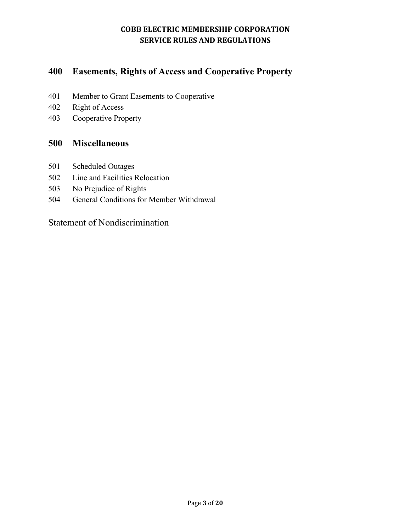# **400 Easements, Rights of Access and Cooperative Property**

- 401 Member to Grant Easements to Cooperative
- 402 Right of Access
- 403 Cooperative Property

# **500 Miscellaneous**

- 501 Scheduled Outages
- 502 Line and Facilities Relocation
- 503 No Prejudice of Rights
- 504 General Conditions for Member Withdrawal

Statement of Nondiscrimination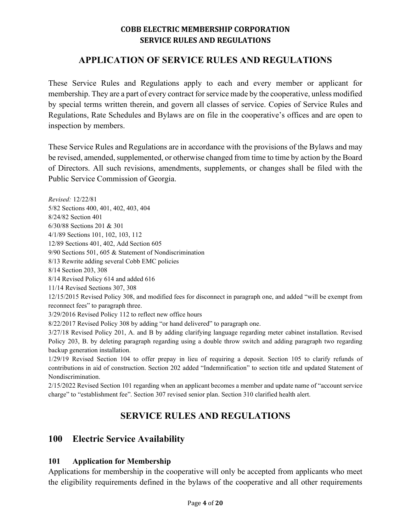# **APPLICATION OF SERVICE RULES AND REGULATIONS**

These Service Rules and Regulations apply to each and every member or applicant for membership. They are a part of every contract for service made by the cooperative, unless modified by special terms written therein, and govern all classes of service. Copies of Service Rules and Regulations, Rate Schedules and Bylaws are on file in the cooperative's offices and are open to inspection by members.

These Service Rules and Regulations are in accordance with the provisions of the Bylaws and may be revised, amended, supplemented, or otherwise changed from time to time by action by the Board of Directors. All such revisions, amendments, supplements, or changes shall be filed with the Public Service Commission of Georgia.

*Revised:* 12/22/81 5/82 Sections 400, 401, 402, 403, 404 8/24/82 Section 401 6/30/88 Sections 201 & 301 4/1/89 Sections 101, 102, 103, 112 12/89 Sections 401, 402, Add Section 605 9/90 Sections 501, 605 & Statement of Nondiscrimination 8/13 Rewrite adding several Cobb EMC policies 8/14 Section 203, 308 8/14 Revised Policy 614 and added 616 11/14 Revised Sections 307, 308 12/15/2015 Revised Policy 308, and modified fees for disconnect in paragraph one, and added "will be exempt from reconnect fees" to paragraph three. 3/29/2016 Revised Policy 112 to reflect new office hours 8/22/2017 Revised Policy 308 by adding "or hand delivered" to paragraph one. 3/27/18 Revised Policy 201, A. and B by adding clarifying language regarding meter cabinet installation. Revised Policy 203, B. by deleting paragraph regarding using a double throw switch and adding paragraph two regarding backup generation installation.

1/29/19 Revised Section 104 to offer prepay in lieu of requiring a deposit. Section 105 to clarify refunds of contributions in aid of construction. Section 202 added "Indemnification" to section title and updated Statement of Nondiscrimination.

2/15/2022 Revised Section 101 regarding when an applicant becomes a member and update name of "account service charge" to "establishment fee". Section 307 revised senior plan. Section 310 clarified health alert.

# **SERVICE RULES AND REGULATIONS**

# **100 Electric Service Availability**

#### **101 Application for Membership**

Applications for membership in the cooperative will only be accepted from applicants who meet the eligibility requirements defined in the bylaws of the cooperative and all other requirements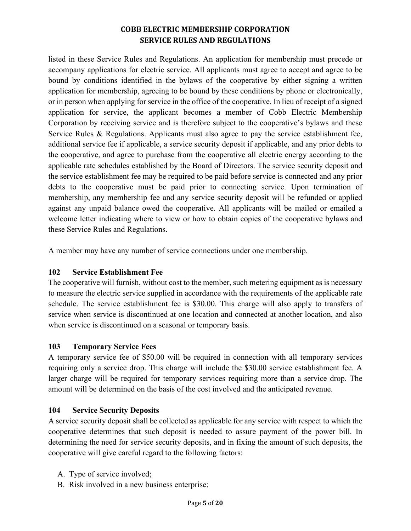listed in these Service Rules and Regulations. An application for membership must precede or accompany applications for electric service. All applicants must agree to accept and agree to be bound by conditions identified in the bylaws of the cooperative by either signing a written application for membership, agreeing to be bound by these conditions by phone or electronically, or in person when applying for service in the office of the cooperative. In lieu of receipt of a signed application for service, the applicant becomes a member of Cobb Electric Membership Corporation by receiving service and is therefore subject to the cooperative's bylaws and these Service Rules & Regulations. Applicants must also agree to pay the service establishment fee, additional service fee if applicable, a service security deposit if applicable, and any prior debts to the cooperative, and agree to purchase from the cooperative all electric energy according to the applicable rate schedules established by the Board of Directors. The service security deposit and the service establishment fee may be required to be paid before service is connected and any prior debts to the cooperative must be paid prior to connecting service. Upon termination of membership, any membership fee and any service security deposit will be refunded or applied against any unpaid balance owed the cooperative. All applicants will be mailed or emailed a welcome letter indicating where to view or how to obtain copies of the cooperative bylaws and these Service Rules and Regulations.

A member may have any number of service connections under one membership.

# **102 Service Establishment Fee**

The cooperative will furnish, without cost to the member, such metering equipment as is necessary to measure the electric service supplied in accordance with the requirements of the applicable rate schedule. The service establishment fee is \$30.00. This charge will also apply to transfers of service when service is discontinued at one location and connected at another location, and also when service is discontinued on a seasonal or temporary basis.

## **103 Temporary Service Fees**

A temporary service fee of \$50.00 will be required in connection with all temporary services requiring only a service drop. This charge will include the \$30.00 service establishment fee. A larger charge will be required for temporary services requiring more than a service drop. The amount will be determined on the basis of the cost involved and the anticipated revenue.

## **104 Service Security Deposits**

A service security deposit shall be collected as applicable for any service with respect to which the cooperative determines that such deposit is needed to assure payment of the power bill. In determining the need for service security deposits, and in fixing the amount of such deposits, the cooperative will give careful regard to the following factors:

- A. Type of service involved;
- B. Risk involved in a new business enterprise;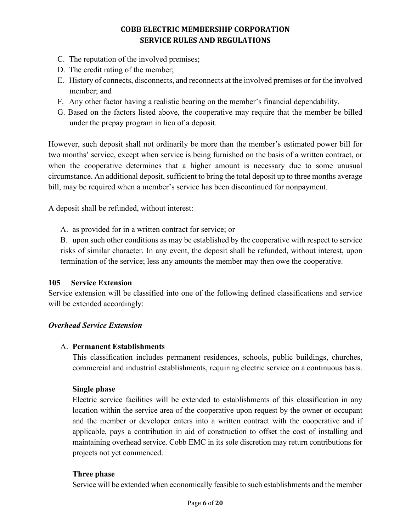- C. The reputation of the involved premises;
- D. The credit rating of the member;
- E. History of connects, disconnects, and reconnects at the involved premises or for the involved member; and
- F. Any other factor having a realistic bearing on the member's financial dependability.
- G. Based on the factors listed above, the cooperative may require that the member be billed under the prepay program in lieu of a deposit.

However, such deposit shall not ordinarily be more than the member's estimated power bill for two months' service, except when service is being furnished on the basis of a written contract, or when the cooperative determines that a higher amount is necessary due to some unusual circumstance. An additional deposit, sufficient to bring the total deposit up to three months average bill, may be required when a member's service has been discontinued for nonpayment.

A deposit shall be refunded, without interest:

A. as provided for in a written contract for service; or

B. upon such other conditions as may be established by the cooperative with respect to service risks of similar character. In any event, the deposit shall be refunded, without interest, upon termination of the service; less any amounts the member may then owe the cooperative.

## **105 Service Extension**

Service extension will be classified into one of the following defined classifications and service will be extended accordingly:

## *Overhead Service Extension*

## A. **Permanent Establishments**

This classification includes permanent residences, schools, public buildings, churches, commercial and industrial establishments, requiring electric service on a continuous basis.

## **Single phase**

Electric service facilities will be extended to establishments of this classification in any location within the service area of the cooperative upon request by the owner or occupant and the member or developer enters into a written contract with the cooperative and if applicable, pays a contribution in aid of construction to offset the cost of installing and maintaining overhead service. Cobb EMC in its sole discretion may return contributions for projects not yet commenced.

## **Three phase**

Service will be extended when economically feasible to such establishments and the member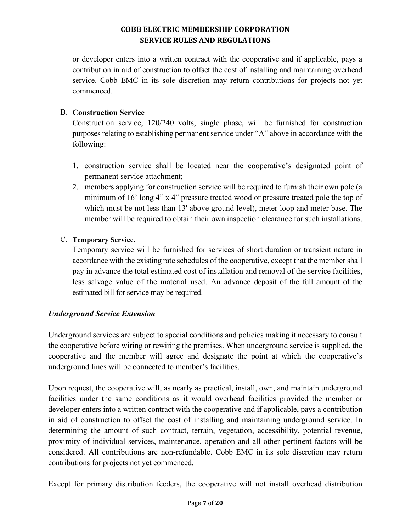or developer enters into a written contract with the cooperative and if applicable, pays a contribution in aid of construction to offset the cost of installing and maintaining overhead service. Cobb EMC in its sole discretion may return contributions for projects not yet commenced.

## B. **Construction Service**

Construction service, 120/240 volts, single phase, will be furnished for construction purposes relating to establishing permanent service under "A" above in accordance with the following:

- 1. construction service shall be located near the cooperative's designated point of permanent service attachment;
- 2. members applying for construction service will be required to furnish their own pole (a minimum of 16' long 4" x 4" pressure treated wood or pressure treated pole the top of which must be not less than 13' above ground level), meter loop and meter base. The member will be required to obtain their own inspection clearance for such installations.

## C. **Temporary Service.**

Temporary service will be furnished for services of short duration or transient nature in accordance with the existing rate schedules of the cooperative, except that the member shall pay in advance the total estimated cost of installation and removal of the service facilities, less salvage value of the material used. An advance deposit of the full amount of the estimated bill for service may be required.

# *Underground Service Extension*

Underground services are subject to special conditions and policies making it necessary to consult the cooperative before wiring or rewiring the premises. When underground service is supplied, the cooperative and the member will agree and designate the point at which the cooperative's underground lines will be connected to member's facilities.

Upon request, the cooperative will, as nearly as practical, install, own, and maintain underground facilities under the same conditions as it would overhead facilities provided the member or developer enters into a written contract with the cooperative and if applicable, pays a contribution in aid of construction to offset the cost of installing and maintaining underground service. In determining the amount of such contract, terrain, vegetation, accessibility, potential revenue, proximity of individual services, maintenance, operation and all other pertinent factors will be considered. All contributions are non-refundable. Cobb EMC in its sole discretion may return contributions for projects not yet commenced.

Except for primary distribution feeders, the cooperative will not install overhead distribution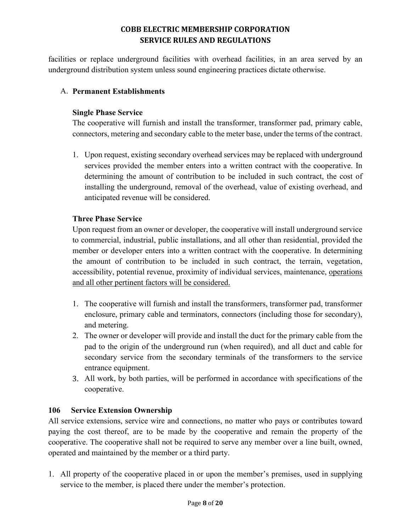facilities or replace underground facilities with overhead facilities, in an area served by an underground distribution system unless sound engineering practices dictate otherwise.

## A. **Permanent Establishments**

## **Single Phase Service**

The cooperative will furnish and install the transformer, transformer pad, primary cable, connectors, metering and secondary cable to the meter base, under the terms of the contract.

1. Upon request, existing secondary overhead services may be replaced with underground services provided the member enters into a written contract with the cooperative. In determining the amount of contribution to be included in such contract, the cost of installing the underground, removal of the overhead, value of existing overhead, and anticipated revenue will be considered.

## **Three Phase Service**

Upon request from an owner or developer, the cooperative will install underground service to commercial, industrial, public installations, and all other than residential, provided the member or developer enters into a written contract with the cooperative. In determining the amount of contribution to be included in such contract, the terrain, vegetation, accessibility, potential revenue, proximity of individual services, maintenance, operations and all other pertinent factors will be considered.

- 1. The cooperative will furnish and install the transformers, transformer pad, transformer enclosure, primary cable and terminators, connectors (including those for secondary), and metering.
- 2. The owner or developer will provide and install the duct for the primary cable from the pad to the origin of the underground run (when required), and all duct and cable for secondary service from the secondary terminals of the transformers to the service entrance equipment.
- 3. All work, by both parties, will be performed in accordance with specifications of the cooperative.

## **106 Service Extension Ownership**

All service extensions, service wire and connections, no matter who pays or contributes toward paying the cost thereof, are to be made by the cooperative and remain the property of the cooperative. The cooperative shall not be required to serve any member over a line built, owned, operated and maintained by the member or a third party.

1. All property of the cooperative placed in or upon the member's premises, used in supplying service to the member, is placed there under the member's protection.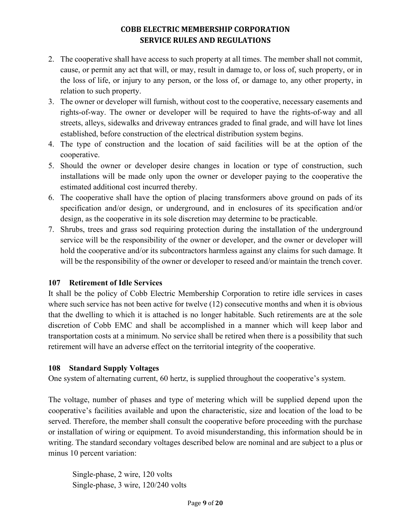- 2. The cooperative shall have access to such property at all times. The member shall not commit, cause, or permit any act that will, or may, result in damage to, or loss of, such property, or in the loss of life, or injury to any person, or the loss of, or damage to, any other property, in relation to such property.
- 3. The owner or developer will furnish, without cost to the cooperative, necessary easements and rights-of-way. The owner or developer will be required to have the rights-of-way and all streets, alleys, sidewalks and driveway entrances graded to final grade, and will have lot lines established, before construction of the electrical distribution system begins.
- 4. The type of construction and the location of said facilities will be at the option of the cooperative.
- 5. Should the owner or developer desire changes in location or type of construction, such installations will be made only upon the owner or developer paying to the cooperative the estimated additional cost incurred thereby.
- 6. The cooperative shall have the option of placing transformers above ground on pads of its specification and/or design, or underground, and in enclosures of its specification and/or design, as the cooperative in its sole discretion may determine to be practicable.
- 7. Shrubs, trees and grass sod requiring protection during the installation of the underground service will be the responsibility of the owner or developer, and the owner or developer will hold the cooperative and/or its subcontractors harmless against any claims for such damage. It will be the responsibility of the owner or developer to reseed and/or maintain the trench cover.

## **107 Retirement of Idle Services**

It shall be the policy of Cobb Electric Membership Corporation to retire idle services in cases where such service has not been active for twelve (12) consecutive months and when it is obvious that the dwelling to which it is attached is no longer habitable. Such retirements are at the sole discretion of Cobb EMC and shall be accomplished in a manner which will keep labor and transportation costs at a minimum. No service shall be retired when there is a possibility that such retirement will have an adverse effect on the territorial integrity of the cooperative.

## **108 Standard Supply Voltages**

One system of alternating current, 60 hertz, is supplied throughout the cooperative's system.

The voltage, number of phases and type of metering which will be supplied depend upon the cooperative's facilities available and upon the characteristic, size and location of the load to be served. Therefore, the member shall consult the cooperative before proceeding with the purchase or installation of wiring or equipment. To avoid misunderstanding, this information should be in writing. The standard secondary voltages described below are nominal and are subject to a plus or minus 10 percent variation:

Single-phase, 2 wire, 120 volts Single-phase, 3 wire, 120/240 volts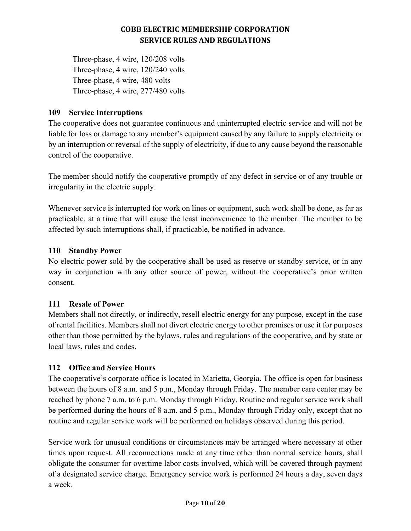Three-phase, 4 wire, 120/208 volts Three-phase, 4 wire, 120/240 volts Three-phase, 4 wire, 480 volts Three-phase, 4 wire, 277/480 volts

## **109 Service Interruptions**

The cooperative does not guarantee continuous and uninterrupted electric service and will not be liable for loss or damage to any member's equipment caused by any failure to supply electricity or by an interruption or reversal of the supply of electricity, if due to any cause beyond the reasonable control of the cooperative.

The member should notify the cooperative promptly of any defect in service or of any trouble or irregularity in the electric supply.

Whenever service is interrupted for work on lines or equipment, such work shall be done, as far as practicable, at a time that will cause the least inconvenience to the member. The member to be affected by such interruptions shall, if practicable, be notified in advance.

## **110 Standby Power**

No electric power sold by the cooperative shall be used as reserve or standby service, or in any way in conjunction with any other source of power, without the cooperative's prior written consent.

## **111 Resale of Power**

Members shall not directly, or indirectly, resell electric energy for any purpose, except in the case of rental facilities. Members shall not divert electric energy to other premises or use it for purposes other than those permitted by the bylaws, rules and regulations of the cooperative, and by state or local laws, rules and codes.

## **112 Office and Service Hours**

The cooperative's corporate office is located in Marietta, Georgia. The office is open for business between the hours of 8 a.m. and 5 p.m., Monday through Friday. The member care center may be reached by phone 7 a.m. to 6 p.m. Monday through Friday. Routine and regular service work shall be performed during the hours of 8 a.m. and 5 p.m., Monday through Friday only, except that no routine and regular service work will be performed on holidays observed during this period.

Service work for unusual conditions or circumstances may be arranged where necessary at other times upon request. All reconnections made at any time other than normal service hours, shall obligate the consumer for overtime labor costs involved, which will be covered through payment of a designated service charge. Emergency service work is performed 24 hours a day, seven days a week.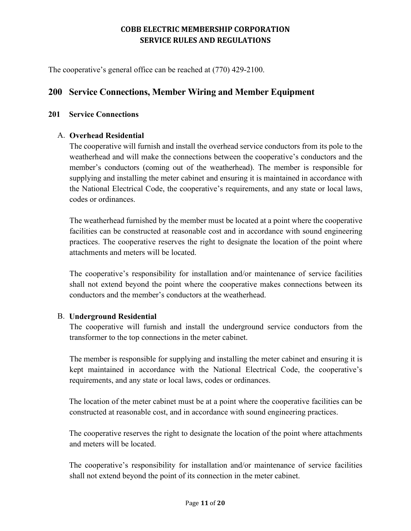The cooperative's general office can be reached at (770) 429-2100.

# **200 Service Connections, Member Wiring and Member Equipment**

#### **201 Service Connections**

## A. **Overhead Residential**

The cooperative will furnish and install the overhead service conductors from its pole to the weatherhead and will make the connections between the cooperative's conductors and the member's conductors (coming out of the weatherhead). The member is responsible for supplying and installing the meter cabinet and ensuring it is maintained in accordance with the National Electrical Code, the cooperative's requirements, and any state or local laws, codes or ordinances.

The weatherhead furnished by the member must be located at a point where the cooperative facilities can be constructed at reasonable cost and in accordance with sound engineering practices. The cooperative reserves the right to designate the location of the point where attachments and meters will be located.

The cooperative's responsibility for installation and/or maintenance of service facilities shall not extend beyond the point where the cooperative makes connections between its conductors and the member's conductors at the weatherhead.

#### B. **Underground Residential**

The cooperative will furnish and install the underground service conductors from the transformer to the top connections in the meter cabinet.

The member is responsible for supplying and installing the meter cabinet and ensuring it is kept maintained in accordance with the National Electrical Code, the cooperative's requirements, and any state or local laws, codes or ordinances.

The location of the meter cabinet must be at a point where the cooperative facilities can be constructed at reasonable cost, and in accordance with sound engineering practices.

The cooperative reserves the right to designate the location of the point where attachments and meters will be located.

The cooperative's responsibility for installation and/or maintenance of service facilities shall not extend beyond the point of its connection in the meter cabinet.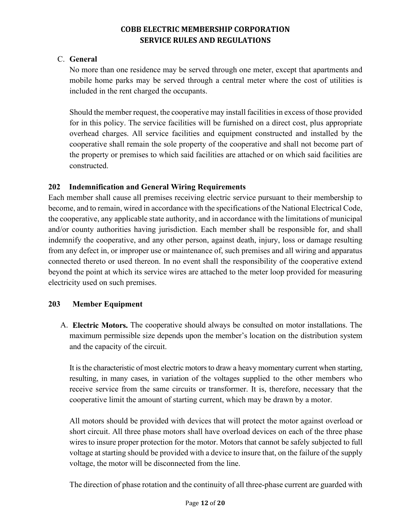## C. **General**

No more than one residence may be served through one meter, except that apartments and mobile home parks may be served through a central meter where the cost of utilities is included in the rent charged the occupants.

Should the member request, the cooperative may install facilities in excess of those provided for in this policy. The service facilities will be furnished on a direct cost, plus appropriate overhead charges. All service facilities and equipment constructed and installed by the cooperative shall remain the sole property of the cooperative and shall not become part of the property or premises to which said facilities are attached or on which said facilities are constructed.

# **202 Indemnification and General Wiring Requirements**

Each member shall cause all premises receiving electric service pursuant to their membership to become, and to remain, wired in accordance with the specifications of the National Electrical Code, the cooperative, any applicable state authority, and in accordance with the limitations of municipal and/or county authorities having jurisdiction. Each member shall be responsible for, and shall indemnify the cooperative, and any other person, against death, injury, loss or damage resulting from any defect in, or improper use or maintenance of, such premises and all wiring and apparatus connected thereto or used thereon. In no event shall the responsibility of the cooperative extend beyond the point at which its service wires are attached to the meter loop provided for measuring electricity used on such premises.

# **203 Member Equipment**

A. **Electric Motors.** The cooperative should always be consulted on motor installations. The maximum permissible size depends upon the member's location on the distribution system and the capacity of the circuit.

It is the characteristic of most electric motors to draw a heavy momentary current when starting, resulting, in many cases, in variation of the voltages supplied to the other members who receive service from the same circuits or transformer. It is, therefore, necessary that the cooperative limit the amount of starting current, which may be drawn by a motor.

All motors should be provided with devices that will protect the motor against overload or short circuit. All three phase motors shall have overload devices on each of the three phase wires to insure proper protection for the motor. Motors that cannot be safely subjected to full voltage at starting should be provided with a device to insure that, on the failure of the supply voltage, the motor will be disconnected from the line.

The direction of phase rotation and the continuity of all three-phase current are guarded with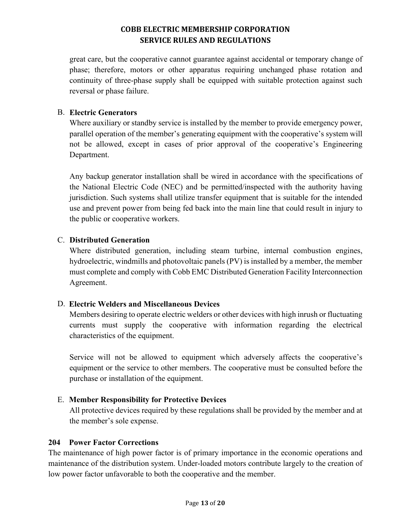great care, but the cooperative cannot guarantee against accidental or temporary change of phase; therefore, motors or other apparatus requiring unchanged phase rotation and continuity of three-phase supply shall be equipped with suitable protection against such reversal or phase failure.

## B. **Electric Generators**

Where auxiliary or standby service is installed by the member to provide emergency power, parallel operation of the member's generating equipment with the cooperative's system will not be allowed, except in cases of prior approval of the cooperative's Engineering Department.

Any backup generator installation shall be wired in accordance with the specifications of the National Electric Code (NEC) and be permitted/inspected with the authority having jurisdiction. Such systems shall utilize transfer equipment that is suitable for the intended use and prevent power from being fed back into the main line that could result in injury to the public or cooperative workers.

## C. **Distributed Generation**

Where distributed generation, including steam turbine, internal combustion engines, hydroelectric, windmills and photovoltaic panels (PV) is installed by a member, the member must complete and comply with Cobb EMC Distributed Generation Facility Interconnection Agreement.

# D. **Electric Welders and Miscellaneous Devices**

Members desiring to operate electric welders or other devices with high inrush or fluctuating currents must supply the cooperative with information regarding the electrical characteristics of the equipment.

Service will not be allowed to equipment which adversely affects the cooperative's equipment or the service to other members. The cooperative must be consulted before the purchase or installation of the equipment.

## E. **Member Responsibility for Protective Devices**

All protective devices required by these regulations shall be provided by the member and at the member's sole expense.

## **204 Power Factor Corrections**

The maintenance of high power factor is of primary importance in the economic operations and maintenance of the distribution system. Under-loaded motors contribute largely to the creation of low power factor unfavorable to both the cooperative and the member.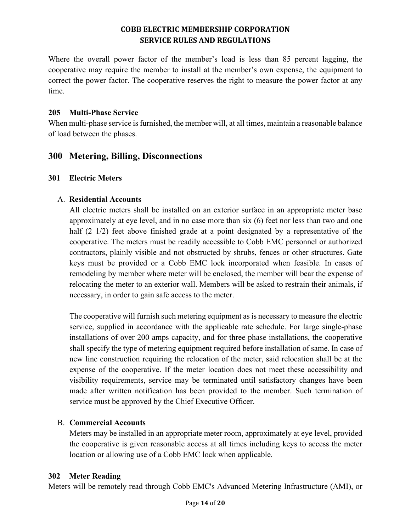Where the overall power factor of the member's load is less than 85 percent lagging, the cooperative may require the member to install at the member's own expense, the equipment to correct the power factor. The cooperative reserves the right to measure the power factor at any time.

## **205 Multi-Phase Service**

When multi-phase service is furnished, the member will, at all times, maintain a reasonable balance of load between the phases.

# **300 Metering, Billing, Disconnections**

## **301 Electric Meters**

## A. **Residential Accounts**

All electric meters shall be installed on an exterior surface in an appropriate meter base approximately at eye level, and in no case more than six (6) feet nor less than two and one half (2 1/2) feet above finished grade at a point designated by a representative of the cooperative. The meters must be readily accessible to Cobb EMC personnel or authorized contractors, plainly visible and not obstructed by shrubs, fences or other structures. Gate keys must be provided or a Cobb EMC lock incorporated when feasible. In cases of remodeling by member where meter will be enclosed, the member will bear the expense of relocating the meter to an exterior wall. Members will be asked to restrain their animals, if necessary, in order to gain safe access to the meter.

The cooperative will furnish such metering equipment as is necessary to measure the electric service, supplied in accordance with the applicable rate schedule. For large single-phase installations of over 200 amps capacity, and for three phase installations, the cooperative shall specify the type of metering equipment required before installation of same. In case of new line construction requiring the relocation of the meter, said relocation shall be at the expense of the cooperative. If the meter location does not meet these accessibility and visibility requirements, service may be terminated until satisfactory changes have been made after written notification has been provided to the member. Such termination of service must be approved by the Chief Executive Officer.

# B. **Commercial Accounts**

Meters may be installed in an appropriate meter room, approximately at eye level, provided the cooperative is given reasonable access at all times including keys to access the meter location or allowing use of a Cobb EMC lock when applicable.

## **302 Meter Reading**

Meters will be remotely read through Cobb EMC's Advanced Metering Infrastructure (AMI), or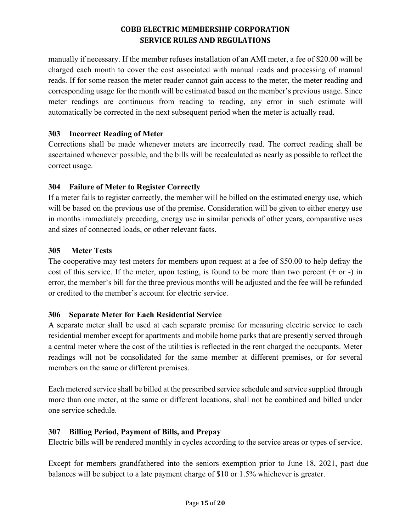manually if necessary. If the member refuses installation of an AMI meter, a fee of \$20.00 will be charged each month to cover the cost associated with manual reads and processing of manual reads. If for some reason the meter reader cannot gain access to the meter, the meter reading and corresponding usage for the month will be estimated based on the member's previous usage. Since meter readings are continuous from reading to reading, any error in such estimate will automatically be corrected in the next subsequent period when the meter is actually read.

## **303 Incorrect Reading of Meter**

Corrections shall be made whenever meters are incorrectly read. The correct reading shall be ascertained whenever possible, and the bills will be recalculated as nearly as possible to reflect the correct usage.

## **304 Failure of Meter to Register Correctly**

If a meter fails to register correctly, the member will be billed on the estimated energy use, which will be based on the previous use of the premise. Consideration will be given to either energy use in months immediately preceding, energy use in similar periods of other years, comparative uses and sizes of connected loads, or other relevant facts.

## **305 Meter Tests**

The cooperative may test meters for members upon request at a fee of \$50.00 to help defray the cost of this service. If the meter, upon testing, is found to be more than two percent  $(+)$  or  $-)$  in error, the member's bill for the three previous months will be adjusted and the fee will be refunded or credited to the member's account for electric service.

# **306 Separate Meter for Each Residential Service**

A separate meter shall be used at each separate premise for measuring electric service to each residential member except for apartments and mobile home parks that are presently served through a central meter where the cost of the utilities is reflected in the rent charged the occupants. Meter readings will not be consolidated for the same member at different premises, or for several members on the same or different premises.

Each metered service shall be billed at the prescribed service schedule and service supplied through more than one meter, at the same or different locations, shall not be combined and billed under one service schedule.

# **307 Billing Period, Payment of Bills, and Prepay**

Electric bills will be rendered monthly in cycles according to the service areas or types of service.

Except for members grandfathered into the seniors exemption prior to June 18, 2021, past due balances will be subject to a late payment charge of \$10 or 1.5% whichever is greater.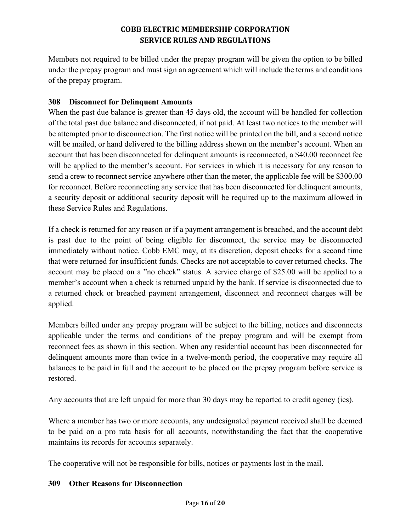Members not required to be billed under the prepay program will be given the option to be billed under the prepay program and must sign an agreement which will include the terms and conditions of the prepay program.

## **308 Disconnect for Delinquent Amounts**

When the past due balance is greater than 45 days old, the account will be handled for collection of the total past due balance and disconnected, if not paid. At least two notices to the member will be attempted prior to disconnection. The first notice will be printed on the bill, and a second notice will be mailed, or hand delivered to the billing address shown on the member's account. When an account that has been disconnected for delinquent amounts is reconnected, a \$40.00 reconnect fee will be applied to the member's account. For services in which it is necessary for any reason to send a crew to reconnect service anywhere other than the meter, the applicable fee will be \$300.00 for reconnect. Before reconnecting any service that has been disconnected for delinquent amounts, a security deposit or additional security deposit will be required up to the maximum allowed in these Service Rules and Regulations.

If a check is returned for any reason or if a payment arrangement is breached, and the account debt is past due to the point of being eligible for disconnect, the service may be disconnected immediately without notice. Cobb EMC may, at its discretion, deposit checks for a second time that were returned for insufficient funds. Checks are not acceptable to cover returned checks. The account may be placed on a "no check" status. A service charge of \$25.00 will be applied to a member's account when a check is returned unpaid by the bank. If service is disconnected due to a returned check or breached payment arrangement, disconnect and reconnect charges will be applied.

Members billed under any prepay program will be subject to the billing, notices and disconnects applicable under the terms and conditions of the prepay program and will be exempt from reconnect fees as shown in this section. When any residential account has been disconnected for delinquent amounts more than twice in a twelve-month period, the cooperative may require all balances to be paid in full and the account to be placed on the prepay program before service is restored.

Any accounts that are left unpaid for more than 30 days may be reported to credit agency (ies).

Where a member has two or more accounts, any undesignated payment received shall be deemed to be paid on a pro rata basis for all accounts, notwithstanding the fact that the cooperative maintains its records for accounts separately.

The cooperative will not be responsible for bills, notices or payments lost in the mail.

## **309 Other Reasons for Disconnection**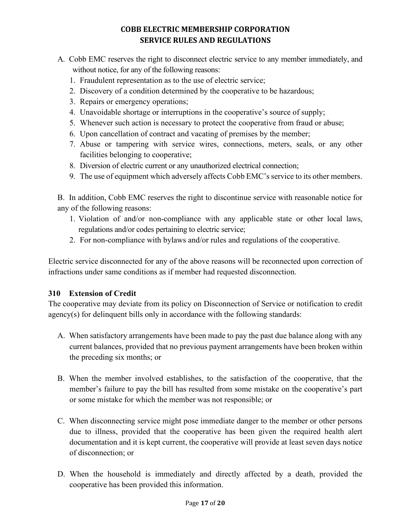- A. Cobb EMC reserves the right to disconnect electric service to any member immediately, and without notice, for any of the following reasons:
	- 1. Fraudulent representation as to the use of electric service;
	- 2. Discovery of a condition determined by the cooperative to be hazardous;
	- 3. Repairs or emergency operations;
	- 4. Unavoidable shortage or interruptions in the cooperative's source of supply;
	- 5. Whenever such action is necessary to protect the cooperative from fraud or abuse;
	- 6. Upon cancellation of contract and vacating of premises by the member;
	- 7. Abuse or tampering with service wires, connections, meters, seals, or any other facilities belonging to cooperative;
	- 8. Diversion of electric current or any unauthorized electrical connection;
	- 9. The use of equipment which adversely affects Cobb EMC's service to its other members.

B. In addition, Cobb EMC reserves the right to discontinue service with reasonable notice for any of the following reasons:

- 1. Violation of and/or non-compliance with any applicable state or other local laws, regulations and/or codes pertaining to electric service;
- 2. For non-compliance with bylaws and/or rules and regulations of the cooperative.

Electric service disconnected for any of the above reasons will be reconnected upon correction of infractions under same conditions as if member had requested disconnection.

## **310 Extension of Credit**

The cooperative may deviate from its policy on Disconnection of Service or notification to credit agency(s) for delinquent bills only in accordance with the following standards:

- A. When satisfactory arrangements have been made to pay the past due balance along with any current balances, provided that no previous payment arrangements have been broken within the preceding six months; or
- B. When the member involved establishes, to the satisfaction of the cooperative, that the member's failure to pay the bill has resulted from some mistake on the cooperative's part or some mistake for which the member was not responsible; or
- C. When disconnecting service might pose immediate danger to the member or other persons due to illness, provided that the cooperative has been given the required health alert documentation and it is kept current, the cooperative will provide at least seven days notice of disconnection; or
- D. When the household is immediately and directly affected by a death, provided the cooperative has been provided this information.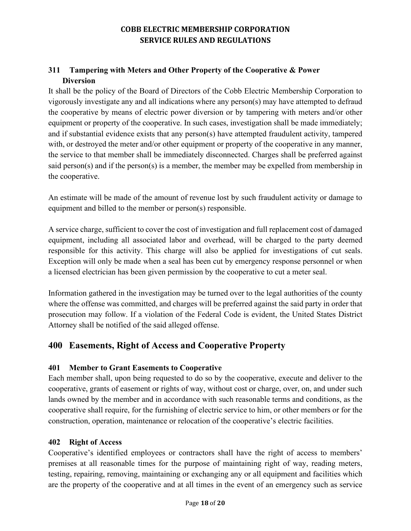# **311 Tampering with Meters and Other Property of the Cooperative & Power Diversion**

It shall be the policy of the Board of Directors of the Cobb Electric Membership Corporation to vigorously investigate any and all indications where any person(s) may have attempted to defraud the cooperative by means of electric power diversion or by tampering with meters and/or other equipment or property of the cooperative. In such cases, investigation shall be made immediately; and if substantial evidence exists that any person(s) have attempted fraudulent activity, tampered with, or destroyed the meter and/or other equipment or property of the cooperative in any manner, the service to that member shall be immediately disconnected. Charges shall be preferred against said person(s) and if the person(s) is a member, the member may be expelled from membership in the cooperative.

An estimate will be made of the amount of revenue lost by such fraudulent activity or damage to equipment and billed to the member or person(s) responsible.

A service charge, sufficient to cover the cost of investigation and full replacement cost of damaged equipment, including all associated labor and overhead, will be charged to the party deemed responsible for this activity. This charge will also be applied for investigations of cut seals. Exception will only be made when a seal has been cut by emergency response personnel or when a licensed electrician has been given permission by the cooperative to cut a meter seal.

Information gathered in the investigation may be turned over to the legal authorities of the county where the offense was committed, and charges will be preferred against the said party in order that prosecution may follow. If a violation of the Federal Code is evident, the United States District Attorney shall be notified of the said alleged offense.

# **400 Easements, Right of Access and Cooperative Property**

# **401 Member to Grant Easements to Cooperative**

Each member shall, upon being requested to do so by the cooperative, execute and deliver to the cooperative, grants of easement or rights of way, without cost or charge, over, on, and under such lands owned by the member and in accordance with such reasonable terms and conditions, as the cooperative shall require, for the furnishing of electric service to him, or other members or for the construction, operation, maintenance or relocation of the cooperative's electric facilities.

## **402 Right of Access**

Cooperative's identified employees or contractors shall have the right of access to members' premises at all reasonable times for the purpose of maintaining right of way, reading meters, testing, repairing, removing, maintaining or exchanging any or all equipment and facilities which are the property of the cooperative and at all times in the event of an emergency such as service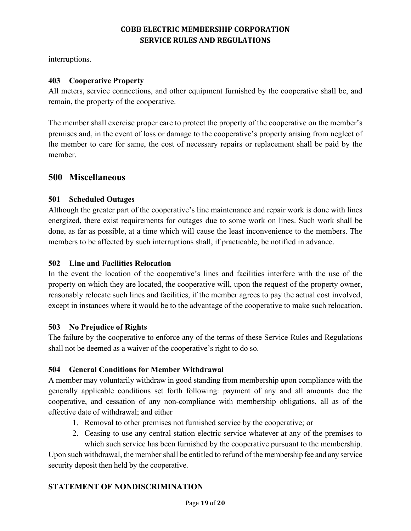interruptions.

## **403 Cooperative Property**

All meters, service connections, and other equipment furnished by the cooperative shall be, and remain, the property of the cooperative.

The member shall exercise proper care to protect the property of the cooperative on the member's premises and, in the event of loss or damage to the cooperative's property arising from neglect of the member to care for same, the cost of necessary repairs or replacement shall be paid by the member.

# **500 Miscellaneous**

## **501 Scheduled Outages**

Although the greater part of the cooperative's line maintenance and repair work is done with lines energized, there exist requirements for outages due to some work on lines. Such work shall be done, as far as possible, at a time which will cause the least inconvenience to the members. The members to be affected by such interruptions shall, if practicable, be notified in advance.

## **502 Line and Facilities Relocation**

In the event the location of the cooperative's lines and facilities interfere with the use of the property on which they are located, the cooperative will, upon the request of the property owner, reasonably relocate such lines and facilities, if the member agrees to pay the actual cost involved, except in instances where it would be to the advantage of the cooperative to make such relocation.

## **503 No Prejudice of Rights**

The failure by the cooperative to enforce any of the terms of these Service Rules and Regulations shall not be deemed as a waiver of the cooperative's right to do so.

# **504 General Conditions for Member Withdrawal**

A member may voluntarily withdraw in good standing from membership upon compliance with the generally applicable conditions set forth following: payment of any and all amounts due the cooperative, and cessation of any non-compliance with membership obligations, all as of the effective date of withdrawal; and either

- 1. Removal to other premises not furnished service by the cooperative; or
- 2. Ceasing to use any central station electric service whatever at any of the premises to which such service has been furnished by the cooperative pursuant to the membership.

Upon such withdrawal, the member shall be entitled to refund of the membership fee and any service security deposit then held by the cooperative.

# **STATEMENT OF NONDISCRIMINATION**